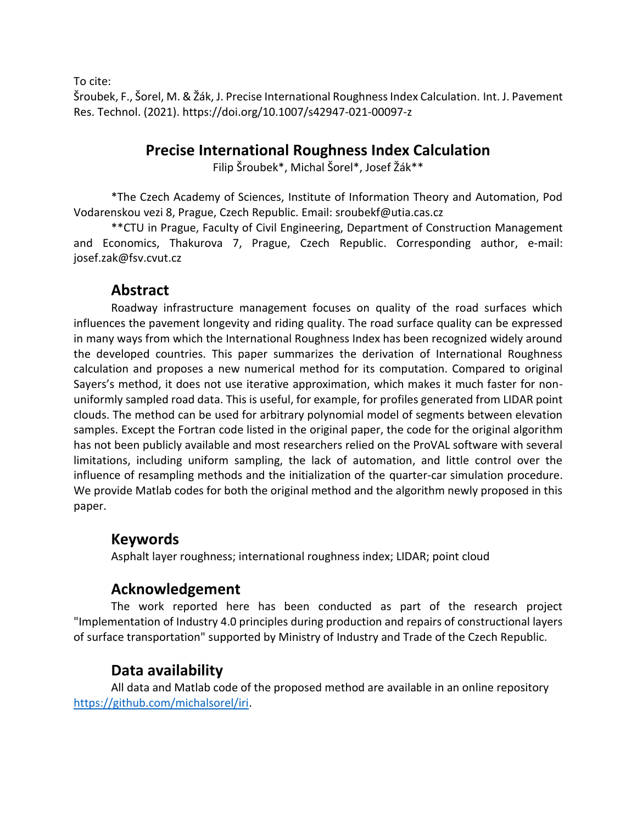To cite:

Šroubek, F., Šorel, M. & Žák, J. Precise International Roughness Index Calculation. Int. J. Pavement Res. Technol. (2021). https://doi.org/10.1007/s42947-021-00097-z

## **Precise International Roughness Index Calculation**

Filip Šroubek\*, Michal Šorel\*, Josef Žák\*\*

\*The Czech Academy of Sciences, Institute of Information Theory and Automation, Pod Vodarenskou vezi 8, Prague, Czech Republic. Email: sroubekf@utia.cas.cz

\*\*CTU in Prague, Faculty of Civil Engineering, Department of Construction Management and Economics, Thakurova 7, Prague, Czech Republic. Corresponding author, e-mail: josef.zak@fsv.cvut.cz

## **Abstract**

Roadway infrastructure management focuses on quality of the road surfaces which influences the pavement longevity and riding quality. The road surface quality can be expressed in many ways from which the International Roughness Index has been recognized widely around the developed countries. This paper summarizes the derivation of International Roughness calculation and proposes a new numerical method for its computation. Compared to original Sayers's method, it does not use iterative approximation, which makes it much faster for nonuniformly sampled road data. This is useful, for example, for profiles generated from LIDAR point clouds. The method can be used for arbitrary polynomial model of segments between elevation samples. Except the Fortran code listed in the original paper, the code for the original algorithm has not been publicly available and most researchers relied on the ProVAL software with several limitations, including uniform sampling, the lack of automation, and little control over the influence of resampling methods and the initialization of the quarter-car simulation procedure. We provide Matlab codes for both the original method and the algorithm newly proposed in this paper.

# **Keywords**

Asphalt layer roughness; international roughness index; LIDAR; point cloud

# **Acknowledgement**

The work reported here has been conducted as part of the research project "Implementation of Industry 4.0 principles during production and repairs of constructional layers of surface transportation" supported by Ministry of Industry and Trade of the Czech Republic.

# **Data availability**

All data and Matlab code of the proposed method are available in an online repository [https://github.com/michalsorel/iri.](https://github.com/michalsorel/iri)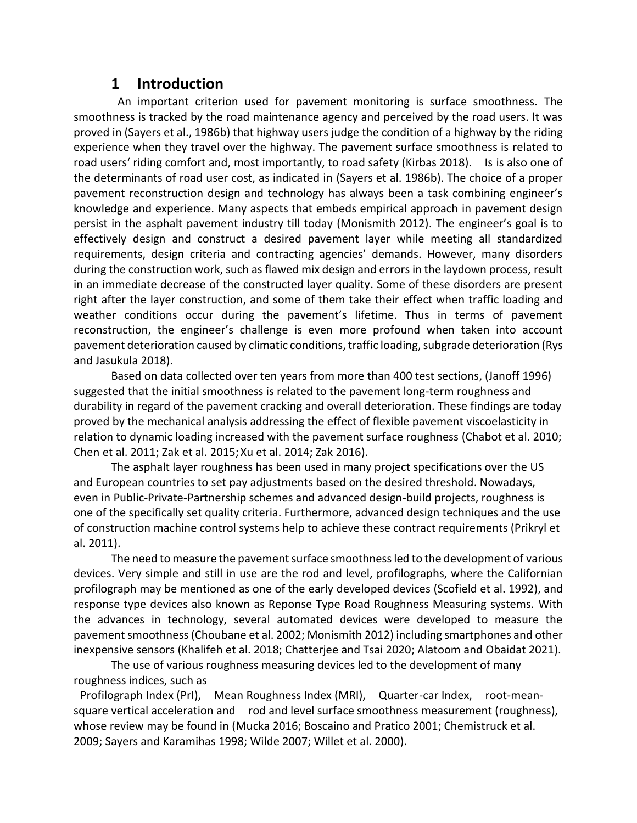## **1 Introduction**

An important criterion used for pavement monitoring is surface smoothness. The smoothness is tracked by the road maintenance agency and perceived by the road users. It was proved in (Sayers et al., 1986b) that highway users judge the condition of a highway by the riding experience when they travel over the highway. The pavement surface smoothness is related to road users' riding comfort and, most importantly, to road safety (Kirbas 2018). Is is also one of the determinants of road user cost, as indicated in (Sayers et al. 1986b). The choice of a proper pavement reconstruction design and technology has always been a task combining engineer's knowledge and experience. Many aspects that embeds empirical approach in pavement design persist in the asphalt pavement industry till today (Monismith 2012). The engineer's goal is to effectively design and construct a desired pavement layer while meeting all standardized requirements, design criteria and contracting agencies' demands. However, many disorders during the construction work, such as flawed mix design and errors in the laydown process, result in an immediate decrease of the constructed layer quality. Some of these disorders are present right after the layer construction, and some of them take their effect when traffic loading and weather conditions occur during the pavement's lifetime. Thus in terms of pavement reconstruction, the engineer's challenge is even more profound when taken into account pavement deterioration caused by climatic conditions, traffic loading, subgrade deterioration (Rys and Jasukula 2018).

Based on data collected over ten years from more than 400 test sections, (Janoff 1996) suggested that the initial smoothness is related to the pavement long-term roughness and durability in regard of the pavement cracking and overall deterioration. These findings are today proved by the mechanical analysis addressing the effect of flexible pavement viscoelasticity in relation to dynamic loading increased with the pavement surface roughness (Chabot et al. 2010; Chen et al. 2011; Zak et al. 2015;Xu et al. 2014; Zak 2016).

The asphalt layer roughness has been used in many project specifications over the US and European countries to set pay adjustments based on the desired threshold. Nowadays, even in Public-Private-Partnership schemes and advanced design-build projects, roughness is one of the specifically set quality criteria. Furthermore, advanced design techniques and the use of construction machine control systems help to achieve these contract requirements (Prikryl et al. 2011).

The need to measure the pavement surface smoothness led to the development of various devices. Very simple and still in use are the rod and level, profilographs, where the Californian profilograph may be mentioned as one of the early developed devices (Scofield et al. 1992), and response type devices also known as Reponse Type Road Roughness Measuring systems. With the advances in technology, several automated devices were developed to measure the pavement smoothness (Choubane et al. 2002; Monismith 2012) including smartphones and other inexpensive sensors (Khalifeh et al. 2018; Chatterjee and Tsai 2020; Alatoom and Obaidat 2021).

The use of various roughness measuring devices led to the development of many roughness indices, such as

Profilograph Index (PrI), Mean Roughness Index (MRI), Quarter-car Index, root-meansquare vertical acceleration and rod and level surface smoothness measurement (roughness), whose review may be found in (Mucka 2016; Boscaino and Pratico 2001; Chemistruck et al. 2009; Sayers and Karamihas 1998; Wilde 2007; Willet et al. 2000).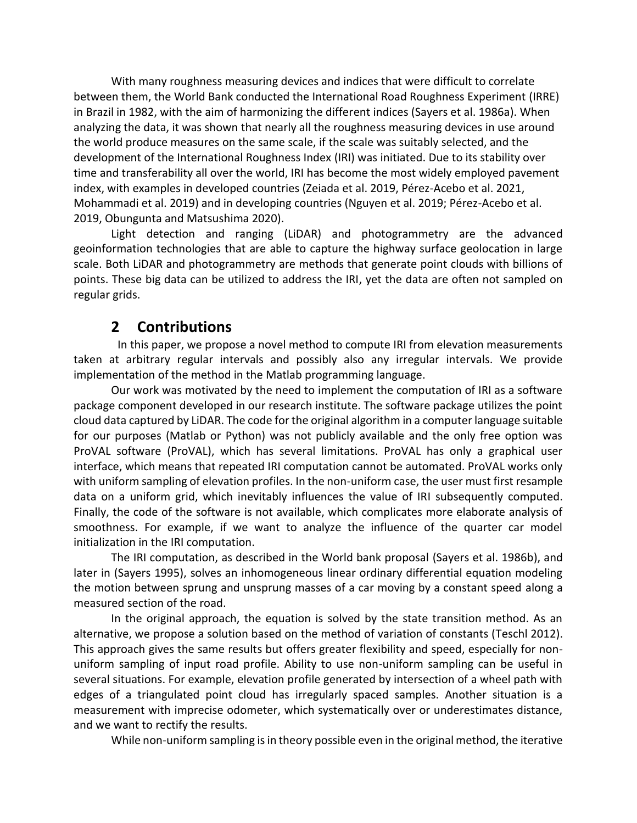With many roughness measuring devices and indices that were difficult to correlate between them, the World Bank conducted the International Road Roughness Experiment (IRRE) in Brazil in 1982, with the aim of harmonizing the different indices (Sayers et al. 1986a). When analyzing the data, it was shown that nearly all the roughness measuring devices in use around the world produce measures on the same scale, if the scale was suitably selected, and the development of the International Roughness Index (IRI) was initiated. Due to its stability over time and transferability all over the world, IRI has become the most widely employed pavement index, with examples in developed countries (Zeiada et al. 2019, Pérez-Acebo et al. 2021, Mohammadi et al. 2019) and in developing countries (Nguyen et al. 2019; Pérez-Acebo et al. 2019, Obungunta and Matsushima 2020).

Light detection and ranging (LiDAR) and photogrammetry are the advanced geoinformation technologies that are able to capture the highway surface geolocation in large scale. Both LiDAR and photogrammetry are methods that generate point clouds with billions of points. These big data can be utilized to address the IRI, yet the data are often not sampled on regular grids.

## **2 Contributions**

In this paper, we propose a novel method to compute IRI from elevation measurements taken at arbitrary regular intervals and possibly also any irregular intervals. We provide implementation of the method in the Matlab programming language.

Our work was motivated by the need to implement the computation of IRI as a software package component developed in our research institute. The software package utilizes the point cloud data captured by LiDAR. The code for the original algorithm in a computer language suitable for our purposes (Matlab or Python) was not publicly available and the only free option was ProVAL software (ProVAL), which has several limitations. ProVAL has only a graphical user interface, which means that repeated IRI computation cannot be automated. ProVAL works only with uniform sampling of elevation profiles. In the non-uniform case, the user must first resample data on a uniform grid, which inevitably influences the value of IRI subsequently computed. Finally, the code of the software is not available, which complicates more elaborate analysis of smoothness. For example, if we want to analyze the influence of the quarter car model initialization in the IRI computation.

The IRI computation, as described in the World bank proposal (Sayers et al. 1986b), and later in (Sayers 1995), solves an inhomogeneous linear ordinary differential equation modeling the motion between sprung and unsprung masses of a car moving by a constant speed along a measured section of the road.

In the original approach, the equation is solved by the state transition method. As an alternative, we propose a solution based on the method of variation of constants (Teschl 2012). This approach gives the same results but offers greater flexibility and speed, especially for nonuniform sampling of input road profile. Ability to use non-uniform sampling can be useful in several situations. For example, elevation profile generated by intersection of a wheel path with edges of a triangulated point cloud has irregularly spaced samples. Another situation is a measurement with imprecise odometer, which systematically over or underestimates distance, and we want to rectify the results.

While non-uniform sampling is in theory possible even in the original method, the iterative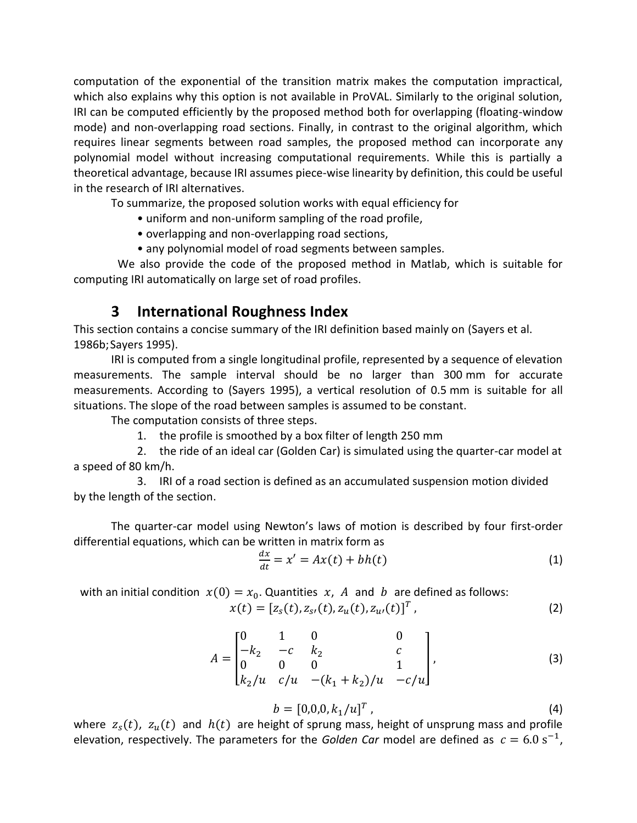computation of the exponential of the transition matrix makes the computation impractical, which also explains why this option is not available in ProVAL. Similarly to the original solution, IRI can be computed efficiently by the proposed method both for overlapping (floating-window mode) and non-overlapping road sections. Finally, in contrast to the original algorithm, which requires linear segments between road samples, the proposed method can incorporate any polynomial model without increasing computational requirements. While this is partially a theoretical advantage, because IRI assumes piece-wise linearity by definition, this could be useful in the research of IRI alternatives.

To summarize, the proposed solution works with equal efficiency for

• uniform and non-uniform sampling of the road profile,

- overlapping and non-overlapping road sections,
- any polynomial model of road segments between samples.

We also provide the code of the proposed method in Matlab, which is suitable for computing IRI automatically on large set of road profiles.

### **3 International Roughness Index**

This section contains a concise summary of the IRI definition based mainly on (Sayers et al. 1986b;Sayers 1995).

IRI is computed from a single longitudinal profile, represented by a sequence of elevation measurements. The sample interval should be no larger than 300 mm for accurate measurements. According to (Sayers 1995), a vertical resolution of 0.5 mm is suitable for all situations. The slope of the road between samples is assumed to be constant.

The computation consists of three steps.

1. the profile is smoothed by a box filter of length 250 mm

 2. the ride of an ideal car (Golden Car) is simulated using the quarter-car model at a speed of 80 km/h.

 3. IRI of a road section is defined as an accumulated suspension motion divided by the length of the section.

The quarter-car model using Newton's laws of motion is described by four first-order differential equations, which can be written in matrix form as

$$
\frac{dx}{dt} = x' = Ax(t) + bh(t)
$$
 (1)

with an initial condition  $x(0) = x_0$ . Quantities  $x$ , A and b are defined as follows:

$$
x(t) = [z_s(t), z_{s}(t), z_u(t), z_{u}(t)]^T,
$$
\n(2)

$$
A = \begin{bmatrix} 0 & 1 & 0 & 0 \\ -k_2 & -c & k_2 & c \\ 0 & 0 & 0 & 1 \\ k_2/u & c/u & -(k_1 + k_2)/u & -c/u \end{bmatrix},
$$
 (3)

$$
b = [0,0,0,k_1/u]^T, \qquad (4)
$$

where  $z_s(t)$ ,  $z_u(t)$  and  $h(t)$  are height of sprung mass, height of unsprung mass and profile elevation, respectively. The parameters for the *Golden Car* model are defined as  $c = 6.0 s^{-1}$ ,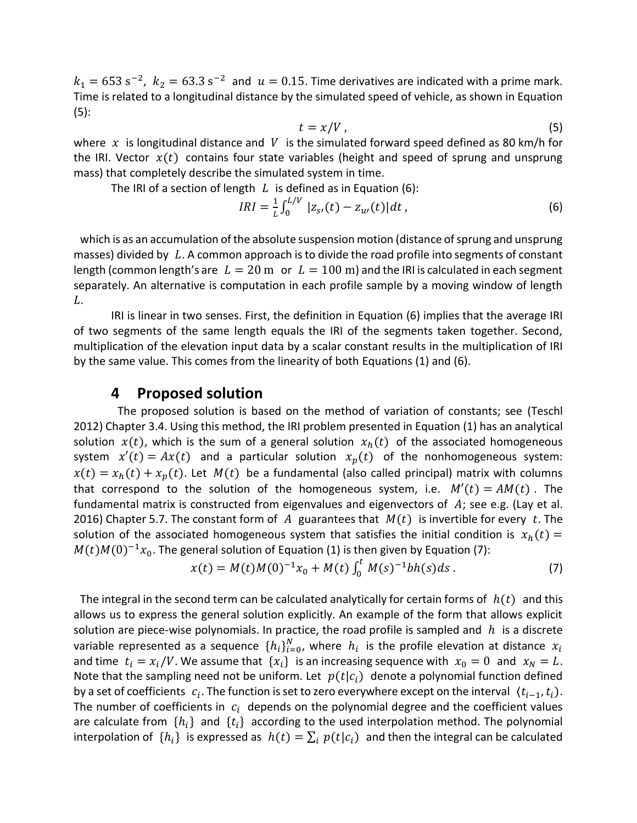$k_1 = 653 \text{ s}^{-2}$ ,  $k_2 = 63.3 \text{ s}^{-2}$  and  $u = 0.15$ . Time derivatives are indicated with a prime mark. Time is related to a longitudinal distance by the simulated speed of vehicle, as shown in Equation (5):

$$
t = x/V \tag{5}
$$

where  $x$  is longitudinal distance and V is the simulated forward speed defined as 80 km/h for the IRI. Vector  $x(t)$  contains four state variables (height and speed of sprung and unsprung mass) that completely describe the simulated system in time.

The IRI of a section of length  $L$  is defined as in Equation (6):

$$
IRI = \frac{1}{L} \int_0^{L/V} |z_{s}(t) - z_{u}(t)| dt,
$$
\n(6)

which is as an accumulation of the absolute suspension motion (distance of sprung and unsprung masses) divided by  $L$ . A common approach is to divide the road profile into segments of constant length (common length's are  $L = 20$  m or  $L = 100$  m) and the IRI is calculated in each segment separately. An alternative is computation in each profile sample by a moving window of length L.

IRI is linear in two senses. First, the definition in Equation (6) implies that the average IRI of two segments of the same length equals the IRI of the segments taken together. Second, multiplication of the elevation input data by a scalar constant results in the multiplication of IRI by the same value. This comes from the linearity of both Equations (1) and (6).

### **4 Proposed solution**

The proposed solution is based on the method of variation of constants; see (Teschl 2012) Chapter 3.4. Using this method, the IRI problem presented in Equation (1) has an analytical solution  $x(t)$ , which is the sum of a general solution  $x<sub>h</sub>(t)$  of the associated homogeneous system  $x'(t) = Ax(t)$  and a particular solution  $x_n(t)$  of the nonhomogeneous system:  $x(t) = x<sub>h</sub>(t) + x<sub>p</sub>(t)$ . Let  $M(t)$  be a fundamental (also called principal) matrix with columns that correspond to the solution of the homogeneous system, i.e.  $M'(t) = AM(t)$ . The fundamental matrix is constructed from eigenvalues and eigenvectors of  $A$ ; see e.g. (Lay et al. 2016) Chapter 5.7. The constant form of A guarantees that  $M(t)$  is invertible for every t. The solution of the associated homogeneous system that satisfies the initial condition is  $x_h(t) =$  $M(t)M(0)^{-1}x_0$ . The general solution of Equation (1) is then given by Equation (7):

$$
x(t) = M(t)M(0)^{-1}x_0 + M(t)\int_0^t M(s)^{-1}bh(s)ds.
$$
 (7)

The integral in the second term can be calculated analytically for certain forms of  $h(t)$  and this allows us to express the general solution explicitly. An example of the form that allows explicit solution are piece-wise polynomials. In practice, the road profile is sampled and  $h$  is a discrete variable represented as a sequence  $\{h_i\}_{i=0}^N$ , where  $\,h_i\,$  is the profile elevation at distance  $\,x_i\,$ and time  $t_i = x_i/V$ . We assume that  $\{x_i\}$  is an increasing sequence with  $x_0 = 0$  and  $x_N = L$ . Note that the sampling need not be uniform. Let  $p(t|c_i)$  denote a polynomial function defined by a set of coefficients  $c_i$ . The function is set to zero everywhere except on the interval  $\langle t_{i-1}, t_i \rangle$ . The number of coefficients in  $c_i$  depends on the polynomial degree and the coefficient values are calculate from  $\{h_i\}$  and  $\{t_i\}$  according to the used interpolation method. The polynomial interpolation of  $\{h_i\}$  is expressed as  $h(t) = \sum_i p(t|c_i)$  and then the integral can be calculated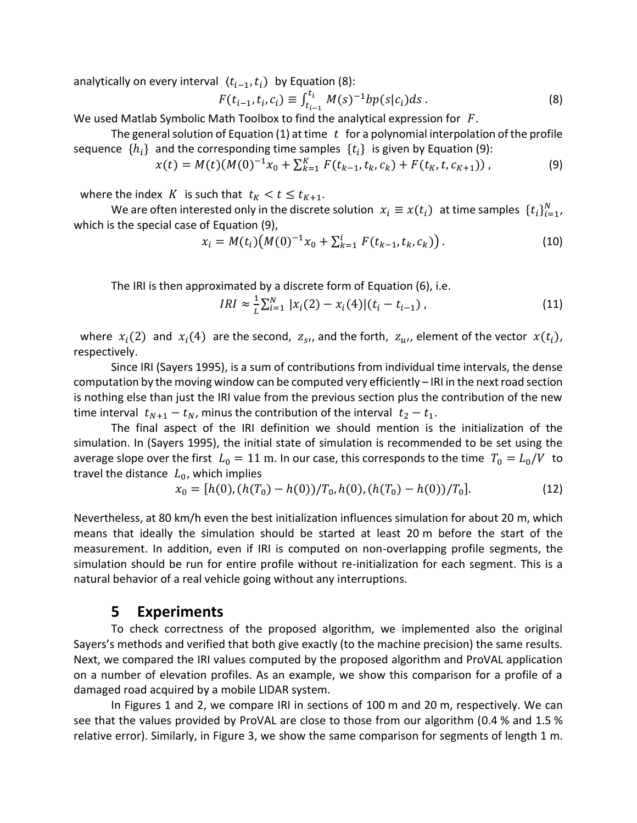analytically on every interval  $(t_{i-1}, t_i)$  by Equation (8):

$$
F(t_{i-1}, t_i, c_i) \equiv \int_{t_{i-1}}^{t_i} M(s)^{-1} b p(s|c_i) ds . \tag{8}
$$

We used Matlab Symbolic Math Toolbox to find the analytical expression for  $F$ .

The general solution of Equation (1) at time  $t$  for a polynomial interpolation of the profile sequence  $\{h_i\}$  and the corresponding time samples  $\{t_i\}$  is given by Equation (9):

$$
x(t) = M(t)(M(0)^{-1}x_0 + \sum_{k=1}^{K} F(t_{k-1}, t_k, c_k) + F(t_K, t, c_{K+1})),
$$
\n(9)

where the index K is such that  $t_K < t \le t_{K+1}$ .

We are often interested only in the discrete solution  $x_i \equiv x(t_i)$  at time samples  $\{t_i\}_{i=1}^N$ , which is the special case of Equation (9),

$$
x_i = M(t_i) (M(0)^{-1} x_0 + \sum_{k=1}^i F(t_{k-1}, t_k, c_k)).
$$
\n(10)

The IRI is then approximated by a discrete form of Equation (6), i.e.

$$
IRI \approx \frac{1}{L} \sum_{i=1}^{N} |x_i(2) - x_i(4)| (t_i - t_{i-1}), \qquad (11)
$$

where  $x_i(2)$  and  $x_i(4)$  are the second,  $z_{s}$ , and the forth,  $z_{u}$ , element of the vector  $x(t_i)$ , respectively.

Since IRI (Sayers 1995), is a sum of contributions from individual time intervals, the dense computation by the moving window can be computed very efficiently – IRI in the next road section is nothing else than just the IRI value from the previous section plus the contribution of the new time interval  $t_{N+1} - t_N$ , minus the contribution of the interval  $t_2 - t_1$ .

The final aspect of the IRI definition we should mention is the initialization of the simulation. In (Sayers 1995), the initial state of simulation is recommended to be set using the average slope over the first  $L_0 = 11$  m. In our case, this corresponds to the time  $T_0 = L_0/V$  to travel the distance  $L_0$ , which implies

$$
x_0 = [h(0), (h(T_0) - h(0))/T_0, h(0), (h(T_0) - h(0))/T_0].
$$
\n(12)

Nevertheless, at 80 km/h even the best initialization influences simulation for about 20 m, which means that ideally the simulation should be started at least 20 m before the start of the measurement. In addition, even if IRI is computed on non-overlapping profile segments, the simulation should be run for entire profile without re-initialization for each segment. This is a natural behavior of a real vehicle going without any interruptions.

#### **5 Experiments**

To check correctness of the proposed algorithm, we implemented also the original Sayers's methods and verified that both give exactly (to the machine precision) the same results. Next, we compared the IRI values computed by the proposed algorithm and ProVAL application on a number of elevation profiles. As an example, we show this comparison for a profile of a damaged road acquired by a mobile LIDAR system.

In Figures 1 and 2, we compare IRI in sections of 100 m and 20 m, respectively. We can see that the values provided by ProVAL are close to those from our algorithm (0.4 % and 1.5 % relative error). Similarly, in Figure 3, we show the same comparison for segments of length 1 m.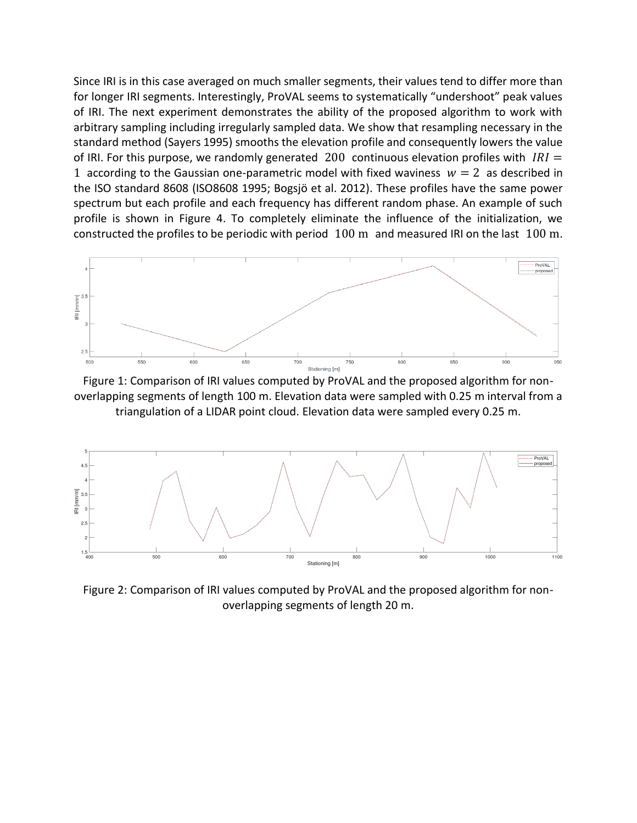Since IRI is in this case averaged on much smaller segments, their values tend to differ more than for longer IRI segments. Interestingly, ProVAL seems to systematically "undershoot" peak values of IRI. The next experiment demonstrates the ability of the proposed algorithm to work with arbitrary sampling including irregularly sampled data. We show that resampling necessary in the standard method (Sayers 1995) smooths the elevation profile and consequently lowers the value of IRI. For this purpose, we randomly generated 200 continuous elevation profiles with  $IRI =$ 1 according to the Gaussian one-parametric model with fixed waviness  $w = 2$  as described in the ISO standard 8608 (ISO8608 1995; Bogsjö et al. 2012). These profiles have the same power spectrum but each profile and each frequency has different random phase. An example of such profile is shown in Figure 4. To completely eliminate the influence of the initialization, we constructed the profiles to be periodic with period 100 m and measured IRI on the last 100 m.



Figure 1: Comparison of IRI values computed by ProVAL and the proposed algorithm for nonoverlapping segments of length 100 m. Elevation data were sampled with 0.25 m interval from a triangulation of a LIDAR point cloud. Elevation data were sampled every 0.25 m.



Figure 2: Comparison of IRI values computed by ProVAL and the proposed algorithm for nonoverlapping segments of length 20 m.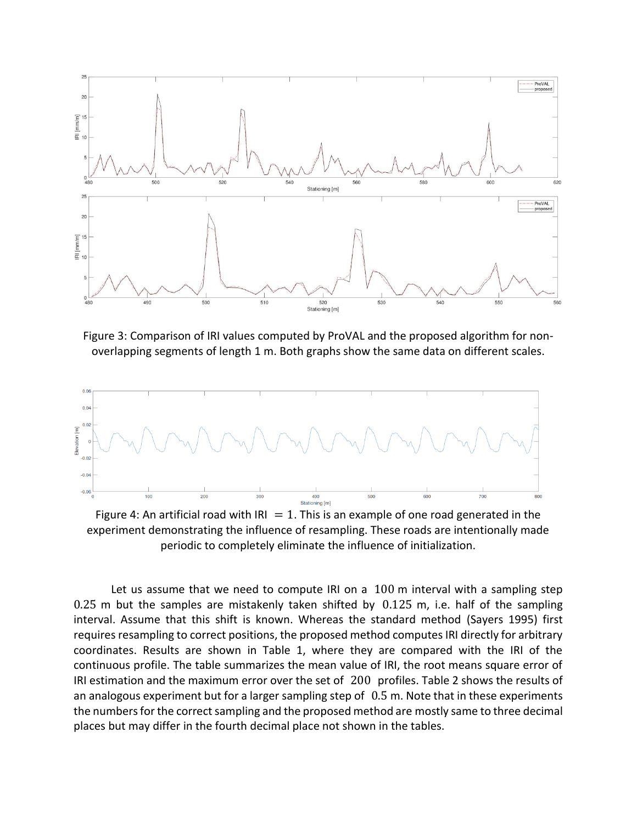

Figure 3: Comparison of IRI values computed by ProVAL and the proposed algorithm for nonoverlapping segments of length 1 m. Both graphs show the same data on different scales.



Figure 4: An artificial road with IRI  $= 1$ . This is an example of one road generated in the experiment demonstrating the influence of resampling. These roads are intentionally made periodic to completely eliminate the influence of initialization.

Let us assume that we need to compute IRI on a 100 m interval with a sampling step 0.25 m but the samples are mistakenly taken shifted by 0.125 m, i.e. half of the sampling interval. Assume that this shift is known. Whereas the standard method (Sayers 1995) first requires resampling to correct positions, the proposed method computes IRI directly for arbitrary coordinates. Results are shown in Table 1, where they are compared with the IRI of the continuous profile. The table summarizes the mean value of IRI, the root means square error of IRI estimation and the maximum error over the set of 200 profiles. Table 2 shows the results of an analogous experiment but for a larger sampling step of 0.5 m. Note that in these experiments the numbers for the correct sampling and the proposed method are mostly same to three decimal places but may differ in the fourth decimal place not shown in the tables.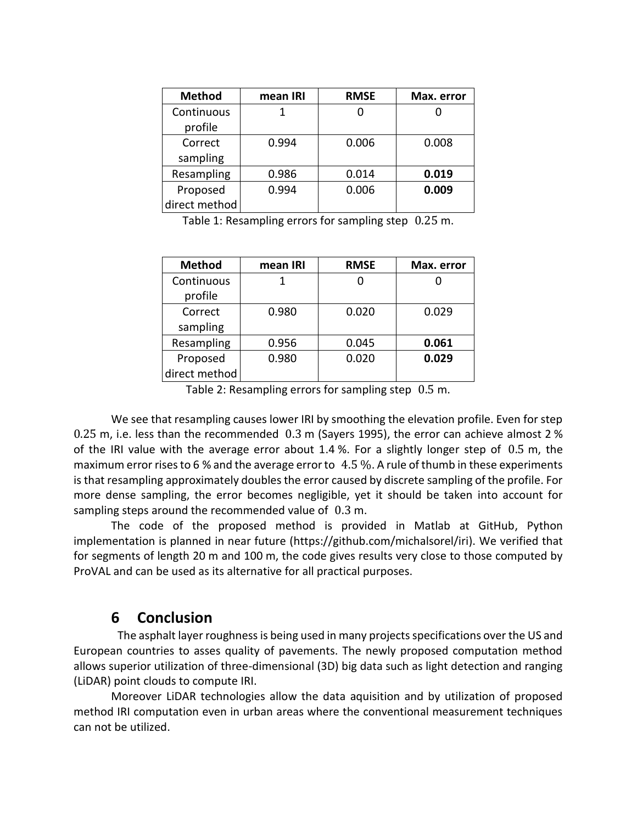| <b>Method</b> | mean IRI | <b>RMSE</b> | Max. error |
|---------------|----------|-------------|------------|
| Continuous    |          |             |            |
| profile       |          |             |            |
| Correct       | 0.994    | 0.006       | 0.008      |
| sampling      |          |             |            |
| Resampling    | 0.986    | 0.014       | 0.019      |
| Proposed      | 0.994    | 0.006       | 0.009      |
| direct method |          |             |            |

Table 1: Resampling errors for sampling step 0.25 m.

| <b>Method</b> | mean IRI | <b>RMSE</b> | Max. error |
|---------------|----------|-------------|------------|
| Continuous    |          |             |            |
| profile       |          |             |            |
| Correct       | 0.980    | 0.020       | 0.029      |
| sampling      |          |             |            |
| Resampling    | 0.956    | 0.045       | 0.061      |
| Proposed      | 0.980    | 0.020       | 0.029      |
| direct method |          |             |            |

Table 2: Resampling errors for sampling step 0.5 m.

We see that resampling causes lower IRI by smoothing the elevation profile. Even for step 0.25 m, i.e. less than the recommended 0.3 m (Sayers 1995), the error can achieve almost 2 % of the IRI value with the average error about 1.4 %. For a slightly longer step of 0.5 m, the maximum error rises to 6 % and the average error to 4.5 %. A rule of thumb in these experiments is that resampling approximately doubles the error caused by discrete sampling of the profile. For more dense sampling, the error becomes negligible, yet it should be taken into account for sampling steps around the recommended value of 0.3 m.

The code of the proposed method is provided in Matlab at GitHub, Python implementation is planned in near future (https://github.com/michalsorel/iri). We verified that for segments of length 20 m and 100 m, the code gives results very close to those computed by ProVAL and can be used as its alternative for all practical purposes.

#### **6 Conclusion**

The asphalt layer roughness is being used in many projects specifications over the US and European countries to asses quality of pavements. The newly proposed computation method allows superior utilization of three-dimensional (3D) big data such as light detection and ranging (LiDAR) point clouds to compute IRI.

Moreover LiDAR technologies allow the data aquisition and by utilization of proposed method IRI computation even in urban areas where the conventional measurement techniques can not be utilized.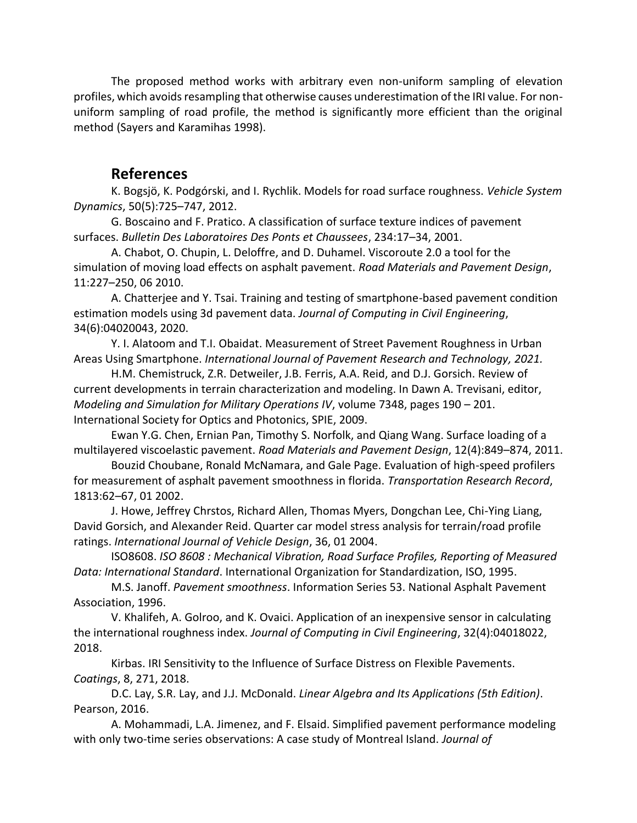The proposed method works with arbitrary even non-uniform sampling of elevation profiles, which avoids resampling that otherwise causes underestimation of the IRI value. For nonuniform sampling of road profile, the method is significantly more efficient than the original method (Sayers and Karamihas 1998).

#### **References**

K. Bogsjö, K. Podgórski, and I. Rychlik. Models for road surface roughness. *Vehicle System Dynamics*, 50(5):725–747, 2012.

G. Boscaino and F. Pratico. A classification of surface texture indices of pavement surfaces. *Bulletin Des Laboratoires Des Ponts et Chaussees*, 234:17–34, 2001.

A. Chabot, O. Chupin, L. Deloffre, and D. Duhamel. Viscoroute 2.0 a tool for the simulation of moving load effects on asphalt pavement. *Road Materials and Pavement Design*, 11:227–250, 06 2010.

A. Chatterjee and Y. Tsai. Training and testing of smartphone-based pavement condition estimation models using 3d pavement data. *Journal of Computing in Civil Engineering*, 34(6):04020043, 2020.

Y. I. Alatoom and T.I. Obaidat. Measurement of Street Pavement Roughness in Urban Areas Using Smartphone. *International Journal of Pavement Research and Technology, 2021.*

H.M. Chemistruck, Z.R. Detweiler, J.B. Ferris, A.A. Reid, and D.J. Gorsich. Review of current developments in terrain characterization and modeling. In Dawn A. Trevisani, editor, *Modeling and Simulation for Military Operations IV*, volume 7348, pages 190 – 201. International Society for Optics and Photonics, SPIE, 2009.

Ewan Y.G. Chen, Ernian Pan, Timothy S. Norfolk, and Qiang Wang. Surface loading of a multilayered viscoelastic pavement. *Road Materials and Pavement Design*, 12(4):849–874, 2011.

Bouzid Choubane, Ronald McNamara, and Gale Page. Evaluation of high-speed profilers for measurement of asphalt pavement smoothness in florida. *Transportation Research Record*, 1813:62–67, 01 2002.

J. Howe, Jeffrey Chrstos, Richard Allen, Thomas Myers, Dongchan Lee, Chi-Ying Liang, David Gorsich, and Alexander Reid. Quarter car model stress analysis for terrain/road profile ratings. *International Journal of Vehicle Design*, 36, 01 2004.

ISO8608. *ISO 8608 : Mechanical Vibration, Road Surface Profiles, Reporting of Measured Data: International Standard*. International Organization for Standardization, ISO, 1995.

M.S. Janoff. *Pavement smoothness*. Information Series 53. National Asphalt Pavement Association, 1996.

V. Khalifeh, A. Golroo, and K. Ovaici. Application of an inexpensive sensor in calculating the international roughness index. *Journal of Computing in Civil Engineering*, 32(4):04018022, 2018.

Kirbas. IRI Sensitivity to the Influence of Surface Distress on Flexible Pavements. *Coatings*, 8, 271, 2018.

D.C. Lay, S.R. Lay, and J.J. McDonald. *Linear Algebra and Its Applications (5th Edition)*. Pearson, 2016.

A. Mohammadi, L.A. Jimenez, and F. Elsaid. Simplified pavement performance modeling with only two-time series observations: A case study of Montreal Island. *Journal of*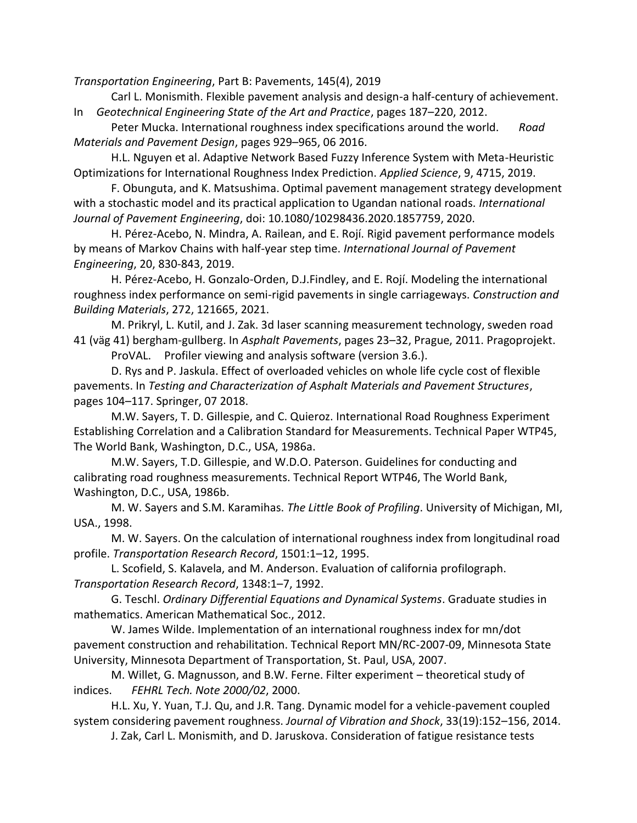*Transportation Engineering*, Part B: Pavements, 145(4), 2019

Carl L. Monismith. Flexible pavement analysis and design-a half-century of achievement. In *Geotechnical Engineering State of the Art and Practice*, pages 187–220, 2012.

Peter Mucka. International roughness index specifications around the world. *Road Materials and Pavement Design*, pages 929–965, 06 2016.

H.L. Nguyen et al. Adaptive Network Based Fuzzy Inference System with Meta-Heuristic Optimizations for International Roughness Index Prediction. *Applied Science*, 9, 4715, 2019.

F. Obunguta, and K. Matsushima. Optimal pavement management strategy development with a stochastic model and its practical application to Ugandan national roads. *International Journal of Pavement Engineering*, doi: 10.1080/10298436.2020.1857759, 2020.

H. Pérez-Acebo, N. Mindra, A. Railean, and E. Rojí. Rigid pavement performance models by means of Markov Chains with half-year step time. *International Journal of Pavement Engineering*, 20, 830-843, 2019.

H. Pérez-Acebo, H. Gonzalo-Orden, D.J.Findley, and E. Rojí. Modeling the international roughness index performance on semi-rigid pavements in single carriageways. *Construction and Building Materials*, 272, 121665, 2021.

M. Prikryl, L. Kutil, and J. Zak. 3d laser scanning measurement technology, sweden road 41 (väg 41) bergham-gullberg. In *Asphalt Pavements*, pages 23–32, Prague, 2011. Pragoprojekt. ProVAL. Profiler viewing and analysis software (version 3.6.).

D. Rys and P. Jaskula. Effect of overloaded vehicles on whole life cycle cost of flexible pavements. In *Testing and Characterization of Asphalt Materials and Pavement Structures*, pages 104–117. Springer, 07 2018.

M.W. Sayers, T. D. Gillespie, and C. Quieroz. International Road Roughness Experiment Establishing Correlation and a Calibration Standard for Measurements. Technical Paper WTP45, The World Bank, Washington, D.C., USA, 1986a.

M.W. Sayers, T.D. Gillespie, and W.D.O. Paterson. Guidelines for conducting and calibrating road roughness measurements. Technical Report WTP46, The World Bank, Washington, D.C., USA, 1986b.

M. W. Sayers and S.M. Karamihas. *The Little Book of Profiling*. University of Michigan, MI, USA., 1998.

M. W. Sayers. On the calculation of international roughness index from longitudinal road profile. *Transportation Research Record*, 1501:1–12, 1995.

L. Scofield, S. Kalavela, and M. Anderson. Evaluation of california profilograph. *Transportation Research Record*, 1348:1–7, 1992.

G. Teschl. *Ordinary Differential Equations and Dynamical Systems*. Graduate studies in mathematics. American Mathematical Soc., 2012.

W. James Wilde. Implementation of an international roughness index for mn/dot pavement construction and rehabilitation. Technical Report MN/RC-2007-09, Minnesota State University, Minnesota Department of Transportation, St. Paul, USA, 2007.

M. Willet, G. Magnusson, and B.W. Ferne. Filter experiment – theoretical study of indices. *FEHRL Tech. Note 2000/02*, 2000.

H.L. Xu, Y. Yuan, T.J. Qu, and J.R. Tang. Dynamic model for a vehicle-pavement coupled system considering pavement roughness. *Journal of Vibration and Shock*, 33(19):152–156, 2014.

J. Zak, Carl L. Monismith, and D. Jaruskova. Consideration of fatigue resistance tests